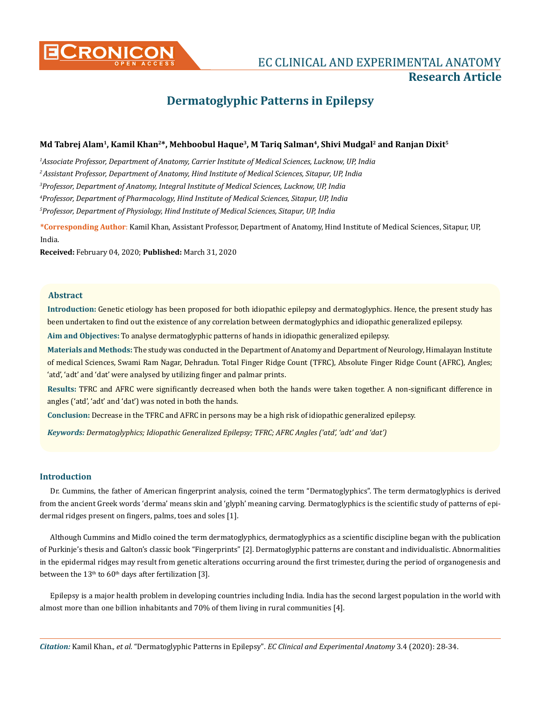

# **CRONICON EXPERIMENTAL ANATOMY ECCLINICAL AND EXPERIMENTAL ANATOMY Research Article**

# **Dermatoglyphic Patterns in Epilepsy**

# Md Tabrej Alam<sup>1</sup>, Kamil Khan<sup>2\*</sup>, Mehboobul Haque<sup>3</sup>, M Tariq Salman<sup>4</sup>, Shivi Mudgal<sup>2</sup> and Ranjan Dixit<sup>5</sup>

*1 Associate Professor, Department of Anatomy, Carrier Institute of Medical Sciences, Lucknow, UP, India* 

*2 Assistant Professor, Department of Anatomy, Hind Institute of Medical Sciences, Sitapur, UP, India*

*3 Professor, Department of Anatomy, Integral Institute of Medical Sciences, Lucknow, UP, India*

*4 Professor, Department of Pharmacology, Hind Institute of Medical Sciences, Sitapur, UP, India* 

*5 Professor, Department of Physiology, Hind Institute of Medical Sciences, Sitapur, UP, India* 

**\*Corresponding Author**: Kamil Khan, Assistant Professor, Department of Anatomy, Hind Institute of Medical Sciences, Sitapur, UP, India.

**Received:** February 04, 2020; **Published:** March 31, 2020

# **Abstract**

**Introduction:** Genetic etiology has been proposed for both idiopathic epilepsy and dermatoglyphics. Hence, the present study has been undertaken to find out the existence of any correlation between dermatoglyphics and idiopathic generalized epilepsy.

**Aim and Objectives:** To analyse dermatoglyphic patterns of hands in idiopathic generalized epilepsy.

**Materials and Methods:** The study was conducted in the Department of Anatomy and Department of Neurology, Himalayan Institute of medical Sciences, Swami Ram Nagar, Dehradun. Total Finger Ridge Count (TFRC), Absolute Finger Ridge Count (AFRC), Angles; 'atd', 'adt' and 'dat' were analysed by utilizing finger and palmar prints.

**Results:** TFRC and AFRC were significantly decreased when both the hands were taken together. A non-significant difference in angles ('atd', 'adt' and 'dat') was noted in both the hands.

**Conclusion:** Decrease in the TFRC and AFRC in persons may be a high risk of idiopathic generalized epilepsy.

*Keywords: Dermatoglyphics; Idiopathic Generalized Epilepsy; TFRC; AFRC Angles ('atd', 'adt' and 'dat')*

# **Introduction**

Dr. Cummins, the father of American fingerprint analysis, coined the term "Dermatoglyphics". The term dermatoglyphics is derived from the ancient Greek words 'derma' means skin and 'glyph' meaning carving. Dermatoglyphics is the scientific study of patterns of epidermal ridges present on fingers, palms, toes and soles [1].

Although Cummins and Midlo coined the term dermatoglyphics, dermatoglyphics as a scientific discipline began with the publication of Purkinje's thesis and Galton's classic book "Fingerprints" [2]. Dermatoglyphic patterns are constant and individualistic. Abnormalities in the epidermal ridges may result from genetic alterations occurring around the first trimester, during the period of organogenesis and between the  $13<sup>th</sup>$  to  $60<sup>th</sup>$  days after fertilization [3].

Epilepsy is a major health problem in developing countries including India. India has the second largest population in the world with almost more than one billion inhabitants and 70% of them living in rural communities [4].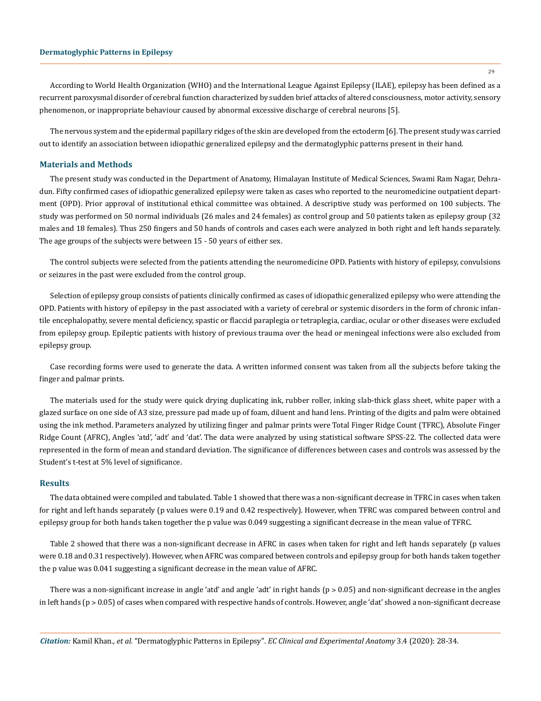29

According to World Health Organization (WHO) and the International League Against Epilepsy (ILAE), epilepsy has been defined as a recurrent paroxysmal disorder of cerebral function characterized by sudden brief attacks of altered consciousness, motor activity, sensory phenomenon, or inappropriate behaviour caused by abnormal excessive discharge of cerebral neurons [5].

The nervous system and the epidermal papillary ridges of the skin are developed from the ectoderm [6]. The present study was carried out to identify an association between idiopathic generalized epilepsy and the dermatoglyphic patterns present in their hand.

#### **Materials and Methods**

The present study was conducted in the Department of Anatomy, Himalayan Institute of Medical Sciences, Swami Ram Nagar, Dehradun. Fifty confirmed cases of idiopathic generalized epilepsy were taken as cases who reported to the neuromedicine outpatient department (OPD). Prior approval of institutional ethical committee was obtained. A descriptive study was performed on 100 subjects. The study was performed on 50 normal individuals (26 males and 24 females) as control group and 50 patients taken as epilepsy group (32 males and 18 females). Thus 250 fingers and 50 hands of controls and cases each were analyzed in both right and left hands separately. The age groups of the subjects were between 15 - 50 years of either sex.

The control subjects were selected from the patients attending the neuromedicine OPD. Patients with history of epilepsy, convulsions or seizures in the past were excluded from the control group.

Selection of epilepsy group consists of patients clinically confirmed as cases of idiopathic generalized epilepsy who were attending the OPD. Patients with history of epilepsy in the past associated with a variety of cerebral or systemic disorders in the form of chronic infantile encephalopathy, severe mental deficiency, spastic or flaccid paraplegia or tetraplegia, cardiac, ocular or other diseases were excluded from epilepsy group. Epileptic patients with history of previous trauma over the head or meningeal infections were also excluded from epilepsy group.

Case recording forms were used to generate the data. A written informed consent was taken from all the subjects before taking the finger and palmar prints.

The materials used for the study were quick drying duplicating ink, rubber roller, inking slab-thick glass sheet, white paper with a glazed surface on one side of A3 size, pressure pad made up of foam, diluent and hand lens. Printing of the digits and palm were obtained using the ink method. Parameters analyzed by utilizing finger and palmar prints were Total Finger Ridge Count (TFRC), Absolute Finger Ridge Count (AFRC), Angles 'atd', 'adt' and 'dat'. The data were analyzed by using statistical software SPSS-22. The collected data were represented in the form of mean and standard deviation. The significance of differences between cases and controls was assessed by the Student's t-test at 5% level of significance.

#### **Results**

The data obtained were compiled and tabulated. Table 1 showed that there was a non-significant decrease in TFRC in cases when taken for right and left hands separately (p values were 0.19 and 0.42 respectively). However, when TFRC was compared between control and epilepsy group for both hands taken together the p value was 0.049 suggesting a significant decrease in the mean value of TFRC.

Table 2 showed that there was a non-significant decrease in AFRC in cases when taken for right and left hands separately (p values were 0.18 and 0.31 respectively). However, when AFRC was compared between controls and epilepsy group for both hands taken together the p value was 0.041 suggesting a significant decrease in the mean value of AFRC.

There was a non-significant increase in angle 'atd' and angle 'adt' in right hands (p > 0.05) and non-significant decrease in the angles in left hands (p > 0.05) of cases when compared with respective hands of controls. However, angle 'dat' showed a non-significant decrease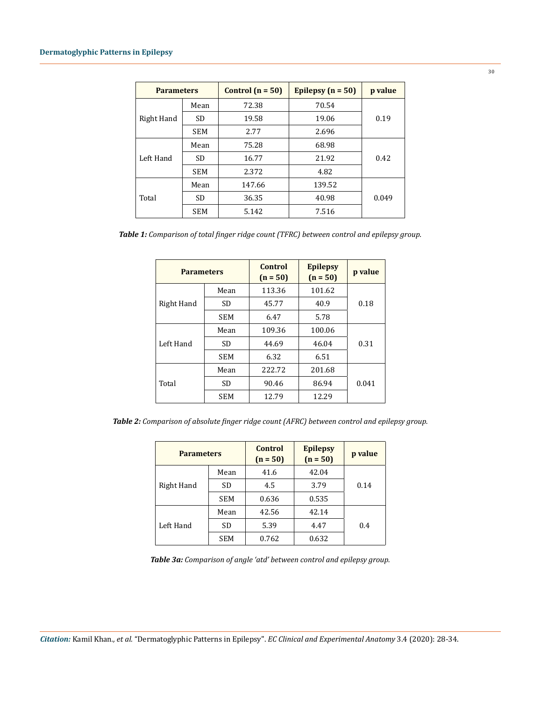| <b>Parameters</b> |            | Control $(n = 50)$ | Epilepsy $(n = 50)$ | p value |
|-------------------|------------|--------------------|---------------------|---------|
| Right Hand        | Mean       | 72.38              | 70.54               |         |
|                   | SD         | 19.58              | 19.06               | 0.19    |
|                   | <b>SEM</b> | 2.77               | 2.696               |         |
| Left Hand         | Mean       | 75.28              | 68.98               |         |
|                   | <b>SD</b>  | 16.77              | 21.92               | 0.42    |
|                   | <b>SEM</b> | 2.372              | 4.82                |         |
| Total             | Mean       | 147.66             | 139.52              |         |
|                   | <b>SD</b>  | 36.35              | 40.98               | 0.049   |
|                   | <b>SEM</b> | 5.142              | 7.516               |         |

*Table 1: Comparison of total finger ridge count (TFRC) between control and epilepsy group.*

| <b>Parameters</b> |            | Control<br>$(n = 50)$ | <b>Epilepsy</b><br>$(n = 50)$ | p value |  |
|-------------------|------------|-----------------------|-------------------------------|---------|--|
| Right Hand        | Mean       | 113.36                | 101.62                        |         |  |
|                   | SD.        | 45.77                 | 40.9                          | 0.18    |  |
|                   | <b>SEM</b> | 6.47                  | 5.78                          |         |  |
| Left Hand         | Mean       | 109.36                | 100.06                        |         |  |
|                   | SD.        | 44.69                 | 46.04                         | 0.31    |  |
|                   | <b>SEM</b> | 6.32                  | 6.51                          |         |  |
| Total             | Mean       | 222.72                | 201.68                        |         |  |
|                   | SD.        | 90.46                 | 86.94                         | 0.041   |  |
|                   | <b>SEM</b> | 12.79                 | 12.29                         |         |  |

*Table 2: Comparison of absolute finger ridge count (AFRC) between control and epilepsy group.*

| <b>Parameters</b> |            | Control<br>$(n = 50)$ | <b>Epilepsy</b><br>$(n = 50)$ | p value |
|-------------------|------------|-----------------------|-------------------------------|---------|
| Right Hand        | Mean       | 41.6                  | 42.04                         |         |
|                   | <b>SD</b>  | 4.5                   | 3.79                          | 0.14    |
|                   | <b>SEM</b> | 0.636                 | 0.535                         |         |
| Left Hand         | Mean       | 42.56                 | 42.14                         |         |
|                   | <b>SD</b>  | 5.39                  | 4.47                          | 0.4     |
|                   | <b>SEM</b> | 0.762                 | 0.632                         |         |

*Table 3a: Comparison of angle 'atd' between control and epilepsy group.*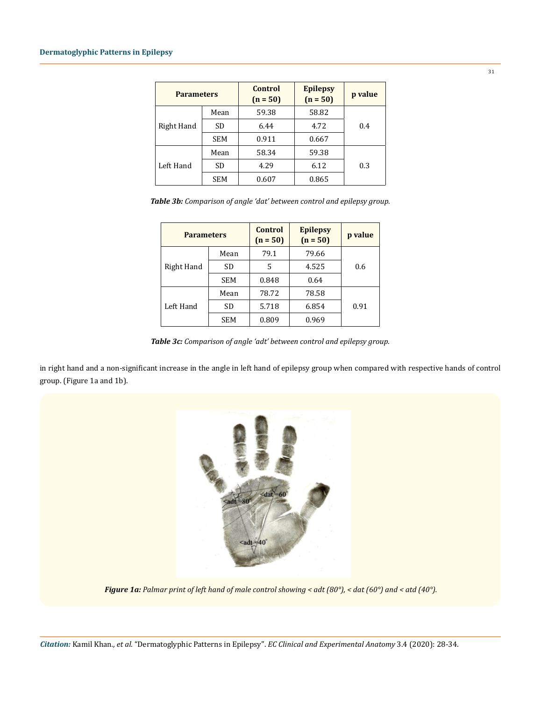| <b>Parameters</b> |            | <b>Control</b><br>$(n = 50)$ | <b>Epilepsy</b><br>$(n = 50)$ | p value |
|-------------------|------------|------------------------------|-------------------------------|---------|
| Right Hand        | Mean       | 59.38                        | 58.82                         |         |
|                   | <b>SD</b>  | 6.44                         | 4.72                          | 0.4     |
|                   | <b>SEM</b> | 0.911                        | 0.667                         |         |
| Left Hand         | Mean       | 58.34                        | 59.38                         |         |
|                   | <b>SD</b>  | 4.29                         | 6.12                          | 0.3     |
|                   | <b>SEM</b> | 0.607                        | 0.865                         |         |

| Table 3b: Comparison of angle 'dat' between control and epilepsy group. |  |  |
|-------------------------------------------------------------------------|--|--|
|-------------------------------------------------------------------------|--|--|

| <b>Parameters</b> |            | Control<br>$(n = 50)$ | <b>Epilepsy</b><br>$(n = 50)$ | p value |
|-------------------|------------|-----------------------|-------------------------------|---------|
| Right Hand        | Mean       | 79.1                  | 79.66                         |         |
|                   | <b>SD</b>  | 5                     | 4.525                         | 0.6     |
|                   | <b>SEM</b> | 0.848                 | 0.64                          |         |
| Left Hand         | Mean       | 78.72                 | 78.58                         |         |
|                   | <b>SD</b>  | 5.718                 | 6.854                         | 0.91    |
|                   | <b>SEM</b> | 0.809                 | 0.969                         |         |

*Table 3c: Comparison of angle 'adt' between control and epilepsy group.*

in right hand and a non-significant increase in the angle in left hand of epilepsy group when compared with respective hands of control group. (Figure 1a and 1b).



*Figure 1a: Palmar print of left hand of male control showing < adt (80°), < dat (60°) and < atd (40°).*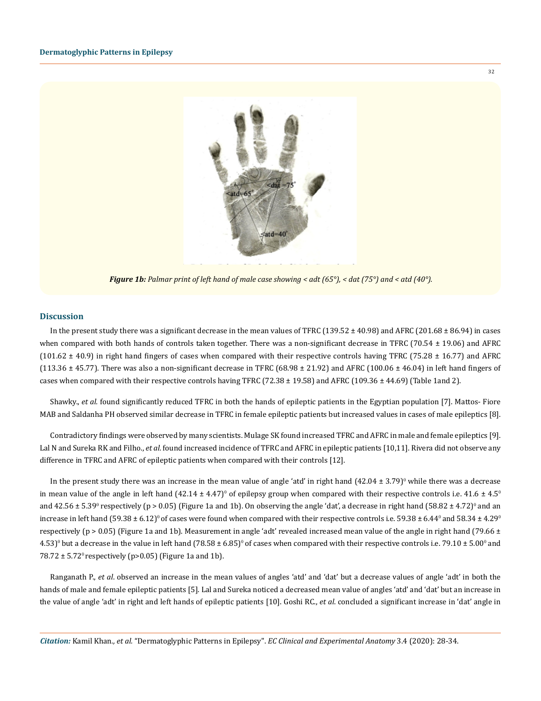

*Figure 1b: Palmar print of left hand of male case showing < adt (65°), < dat (75°) and < atd (40°).*

#### **Discussion**

In the present study there was a significant decrease in the mean values of TFRC  $(139.52 \pm 40.98)$  and AFRC  $(201.68 \pm 86.94)$  in cases when compared with both hands of controls taken together. There was a non-significant decrease in TFRC (70.54  $\pm$  19.06) and AFRC (101.62  $\pm$  40.9) in right hand fingers of cases when compared with their respective controls having TFRC (75.28  $\pm$  16.77) and AFRC (113.36  $\pm$  45.77). There was also a non-significant decrease in TFRC (68.98  $\pm$  21.92) and AFRC (100.06  $\pm$  46.04) in left hand fingers of cases when compared with their respective controls having TFRC (72.38  $\pm$  19.58) and AFRC (109.36  $\pm$  44.69) (Table 1and 2).

Shawky., *et al.* found significantly reduced TFRC in both the hands of epileptic patients in the Egyptian population [7]. Mattos- Fiore MAB and Saldanha PH observed similar decrease in TFRC in female epileptic patients but increased values in cases of male epileptics [8].

Contradictory findings were observed by many scientists. Mulage SK found increased TFRC and AFRC in male and female epileptics [9]. Lal N and Sureka RK and Filho., *et al.* found increased incidence of TFRC and AFRC in epileptic patients [10,11]. Rivera did not observe any difference in TFRC and AFRC of epileptic patients when compared with their controls [12].

In the present study there was an increase in the mean value of angle 'atd' in right hand  $(42.04 \pm 3.79)$ <sup>0</sup> while there was a decrease in mean value of the angle in left hand (42.14 ± 4.47) $^{\rm o}$  of epilepsy group when compared with their respective controls i.e. 41.6 ± 4.5 $^{\rm o}$ and 42.56  $\pm$  5.39º respectively (p > 0.05) (Figure 1a and 1b). On observing the angle 'dat', a decrease in right hand (58.82  $\pm$  4.72)º and an increase in left hand (59.38 ± 6.12) $^{\rm o}$  of cases were found when compared with their respective controls i.e. 59.38 ± 6.44 $^{\rm o}$  and 58.34 ± 4.29 $^{\rm o}$ respectively ( $p > 0.05$ ) (Figure 1a and 1b). Measurement in angle 'adt' revealed increased mean value of the angle in right hand (79.66  $\pm$ 4.53) $^{\rm o}$  but a decrease in the value in left hand (78.58 ± 6.85) $^{\rm o}$  of cases when compared with their respective controls i.e. 79.10 ± 5.00 $^{\rm o}$  and 78.72  $\pm$  5.72<sup>0</sup> respectively (p>0.05) (Figure 1a and 1b).

Ranganath P., *et al*. observed an increase in the mean values of angles 'atd' and 'dat' but a decrease values of angle 'adt' in both the hands of male and female epileptic patients [5]. Lal and Sureka noticed a decreased mean value of angles 'atd' and 'dat' but an increase in the value of angle 'adt' in right and left hands of epileptic patients [10]. Goshi RC., *et al*. concluded a significant increase in 'dat' angle in

32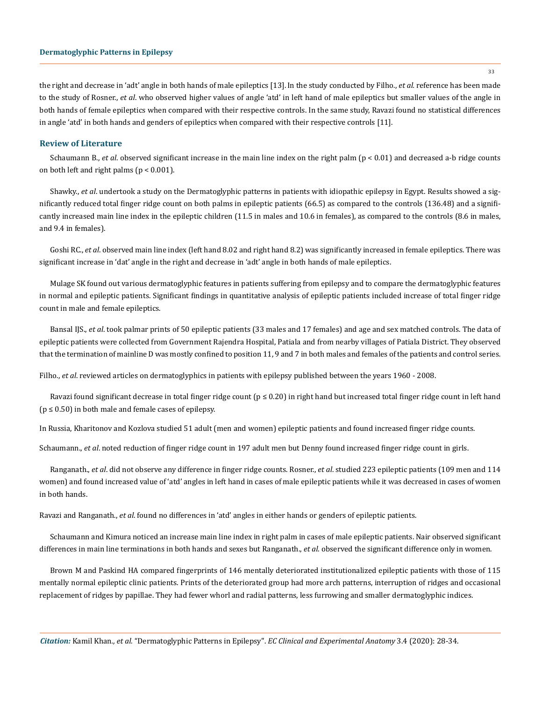#### **Dermatoglyphic Patterns in Epilepsy**

the right and decrease in 'adt' angle in both hands of male epileptics [13].In the study conducted by Filho., *et al.* reference has been made to the study of Rosner., *et al*. who observed higher values of angle 'atd' in left hand of male epileptics but smaller values of the angle in both hands of female epileptics when compared with their respective controls. In the same study, Ravazi found no statistical differences in angle 'atd' in both hands and genders of epileptics when compared with their respective controls [11].

#### **Review of Literature**

Schaumann B., *et al*. observed significant increase in the main line index on the right palm (p < 0.01) and decreased a-b ridge counts on both left and right palms ( $p < 0.001$ ).

Shawky., *et al*. undertook a study on the Dermatoglyphic patterns in patients with idiopathic epilepsy in Egypt. Results showed a significantly reduced total finger ridge count on both palms in epileptic patients (66.5) as compared to the controls (136.48) and a significantly increased main line index in the epileptic children (11.5 in males and 10.6 in females), as compared to the controls (8.6 in males, and 9.4 in females).

Goshi RC., *et al*. observed main line index (left hand 8.02 and right hand 8.2) was significantly increased in female epileptics. There was significant increase in 'dat' angle in the right and decrease in 'adt' angle in both hands of male epileptics.

Mulage SK found out various dermatoglyphic features in patients suffering from epilepsy and to compare the dermatoglyphic features in normal and epileptic patients. Significant findings in quantitative analysis of epileptic patients included increase of total finger ridge count in male and female epileptics.

Bansal IJS., *et al*. took palmar prints of 50 epileptic patients (33 males and 17 females) and age and sex matched controls. The data of epileptic patients were collected from Government Rajendra Hospital, Patiala and from nearby villages of Patiala District. They observed that the termination of mainline D was mostly confined to position 11, 9 and 7 in both males and females of the patients and control series.

Filho., *et al*. reviewed articles on dermatoglyphics in patients with epilepsy published between the years 1960 - 2008.

Ravazi found significant decrease in total finger ridge count ( $p \le 0.20$ ) in right hand but increased total finger ridge count in left hand  $(p \le 0.50)$  in both male and female cases of epilepsy.

In Russia, Kharitonov and Kozlova studied 51 adult (men and women) epileptic patients and found increased finger ridge counts.

Schaumann., *et al*. noted reduction of finger ridge count in 197 adult men but Denny found increased finger ridge count in girls.

Ranganath., *et al*. did not observe any difference in finger ridge counts. Rosner., *et al*. studied 223 epileptic patients (109 men and 114 women) and found increased value of 'atd' angles in left hand in cases of male epileptic patients while it was decreased in cases of women in both hands.

Ravazi and Ranganath., *et al*. found no differences in 'atd' angles in either hands or genders of epileptic patients.

Schaumann and Kimura noticed an increase main line index in right palm in cases of male epileptic patients. Nair observed significant differences in main line terminations in both hands and sexes but Ranganath., *et al*. observed the significant difference only in women.

Brown M and Paskind HA compared fingerprints of 146 mentally deteriorated institutionalized epileptic patients with those of 115 mentally normal epileptic clinic patients. Prints of the deteriorated group had more arch patterns, interruption of ridges and occasional replacement of ridges by papillae. They had fewer whorl and radial patterns, less furrowing and smaller dermatoglyphic indices.